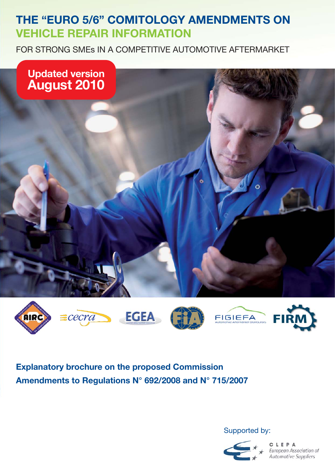# **THE "EURO 5/6" COMITOLOGY AMENDMENTS ON VEHICLE REPAIR INFORMATION**

FOR STRONG SMEs IN A COMPETITIVE AUTOMOTIVE AFTERMARKET













**Explanatory brochure on the proposed Commission Amendments to Regulations N° 692/2008 and N° 715/2007** 

Supported by:



**C L E P A**<br>European Association of<br>Automotive Suppliers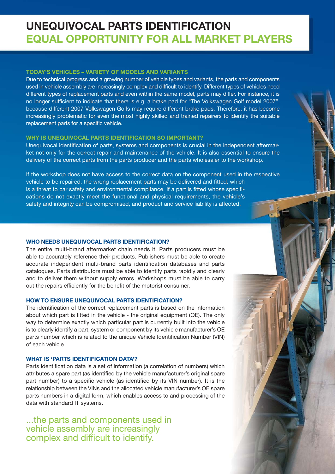# **UNEQUIVOCAL PARTS IDENTIFICATION EQUAL OPPORTUNITY FOR ALL MARKET PLAYERS**

## **TODAY'S VEHICLES – VARIETY OF MODELS AND VARIANTS**

Due to technical progress and a growing number of vehicle types and variants, the parts and components used in vehicle assembly are increasingly complex and difficult to identify. Different types of vehicles need different types of replacement parts and even within the same model, parts may differ. For instance, it is no longer sufficient to indicate that there is e.g. a brake pad for "The Volkswagen Golf model 2007", because different 2007 Volkswagen Golfs may require different brake pads. Therefore, it has become increasingly problematic for even the most highly skilled and trained repairers to identify the suitable replacement parts for a specific vehicle.

### **WHY IS UNEQUIVOCAL PARTS IDENTIFICATION SO IMPORTANT?**

Unequivocal identification of parts, systems and components is crucial in the independent aftermarket not only for the correct repair and maintenance of the vehicle. It is also essential to ensure the delivery of the correct parts from the parts producer and the parts wholesaler to the workshop.

If the workshop does not have access to the correct data on the component used in the respective vehicle to be repaired, the wrong replacement parts may be delivered and fitted, which is a threat to car safety and environmental compliance. If a part is fitted whose specifications do not exactly meet the functional and physical requirements, the vehicle's safety and integrity can be compromised, and product and service liability is affected.

#### **WHO NEEDS UNEQUIVOCAL PARTS IDENTIFICATION?**

The entire multi-brand aftermarket chain needs it. Parts producers must be able to accurately reference their products. Publishers must be able to create accurate independent multi-brand parts identification databases and parts catalogues. Parts distributors must be able to identify parts rapidly and clearly and to deliver them without supply errors. Workshops must be able to carry out the repairs efficiently for the benefit of the motorist consumer.

#### **HOW TO ENSURE UNEQUIVOCAL PARTS IDENTIFICATION?**

The identification of the correct replacement parts is based on the information about which part is fitted in the vehicle - the original equipment (OE). The only way to determine exactly which particular part is currently built into the vehicle is to clearly identify a part, system or component by its vehicle manufacturer's OE parts number which is related to the unique Vehicle Identification Number (VIN) of each vehicle.

#### **WHAT IS 'PARTS IDENTIFICATION DATA'?**

Parts identification data is a set of information (a correlation of numbers) which attributes a spare part (as identified by the vehicle manufacturer's original spare part number) to a specific vehicle (as identified by its VIN number). It is the relationship between the VINs and the allocated vehicle manufacturer's OE spare parts numbers in a digital form, which enables access to and processing of the data with standard IT systems.

...the parts and components used in vehicle assembly are increasingly complex and difficult to identify.

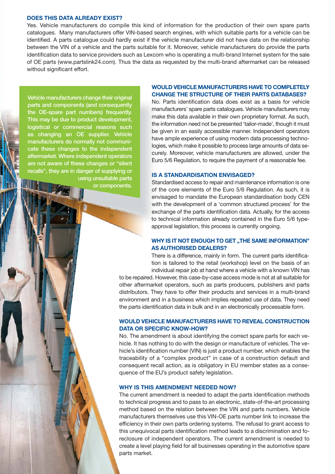#### **DOES THIS DATA ALREADY EXIST?**

Yes. Vehicle manufacturers do compile this kind of information for the production of their own spare parts catalogues. Many manufacturers offer VIN-based search engines, with which suitable parts for a vehicle can be identified. A parts catalogue could hardly exist if the vehicle manufacturer did not have data on the relationship between the VIN of a vehicle and the parts suitable for it. Moreover, vehicle manufacturers do provide the parts identification data to service providers such as Lexcom who is operating a multi-brand Internet system for the sale of OE parts (www.partslink24.com). Thus the data as requested by the multi-brand aftermarket can be released without significant effort.

**Vehicle manufacturers change their original parts and components (and consequently the OE-spare part numbers) frequently. This may be due to product development, logistical or commercial reasons such as changing an OE supplier. Vehicle manufacturers do normally not communicate these changes to the independent aftermarket. Where independent operators are not aware of these changes or "silent recalls", they are in danger of supplying or using unsuitable parts or components.**

## **WOULD VEHICLE MANUFACTURERS HAVE TO COMPLETELY CHANGE THE STRUCTURE OF THEIR PARTS DATABASES?**

No. Parts identification data does exist as a basis for vehicle manufacturers' spare parts catalogues. Vehicle manufacturers may make this data available in their own proprietary format. As such, the information need not be presented 'tailor-made', though it must be given in an easily accessible manner. Independent operators have ample experience of using modern data processing technologies, which make it possible to process large amounts of data securely. Moreover, vehicle manufacturers are allowed, under the Euro 5/6 Regulation, to require the payment of a reasonable fee.

#### **IS A STANDARDISATION ENVISAGED?**

Standardised access to repair and maintenance information is one of the core elements of the Euro 5/6 Regulation. As such, it is envisaged to mandate the European standardisation body CEN with the development of a 'common structured process' for the exchange of the parts identification data. Actually, for the access to technical information already contained in the Euro 5/6 typeapproval legislation, this process is currently ongoing.

### **WHY IS IT NOT ENOUGH TO GET "THE SAME INFORMATION" AS AUTHORISED DEALERS?**

There is a difference, mainly in form. The current parts identification is tailored to the retail (workshop) level on the basis of an individual repair job at hand where a vehicle with a known VIN has

to be repaired. However, this case-by-case access mode is not at all suitable for other aftermarket operators, such as parts producers, publishers and parts distributors. They have to offer their products and services in a multi-brand environment and in a business which implies repeated use of data. They need the parts identification data in bulk and in an electronically processable form.

### **WOULD VEHICLE MANUFACTURERS HAVE TO REVEAL CONSTRUCTION DATA OR SPECIFIC KNOW-HOW?**

No. The amendment is about identifying the correct spare parts for each vehicle. It has nothing to do with the design or manufacture of vehicles. The vehicle's identification number (VIN) is just a product number, which enables the traceability of a "complex product" in case of a construction default and consequent recall action, as is obligatory in EU member states as a consequence of the EU's product safety legislation.

#### **WHY IS THIS AMENDMENT NEEDED NOW?**

The current amendment is needed to adapt the parts identification methods to technical progress and to pass to an electronic, state-of-the-art processing method based on the relation between the VIN and parts numbers. Vehicle manufacturers themselves use this VIN-OE parts number link to increase the efficiency in their own parts ordering systems. The refusal to grant access to this unequivocal parts identification method leads to a discrimination and foreclosure of independent operators. The current amendment is needed to create a level playing field for all businesses operating in the automotive spare parts market.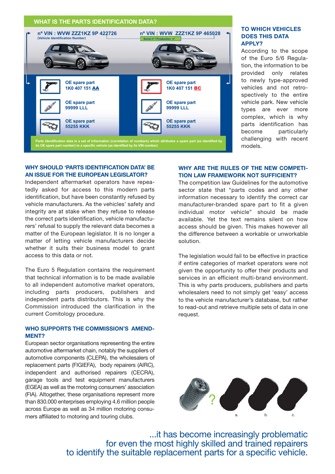

## **TO WHICH VEHICLES DOES THIS DATA APPLY?**

According to the scope of the Euro 5/6 Regulation, the information to be provided only relates to newly type-approved vehicles and not retrospectively to the entire vehicle park. New vehicle types are ever more complex, which is why parts identification has become particularly challenging with recent models.

### **WHY SHOULD 'PARTS IDENTIFICATION DATA' BE AN ISSUE FOR THE EUROPEAN LEGISLATOR?**

Independent aftermarket operators have repeatedly asked for access to this modern parts identification, but have been constantly refused by vehicle manufacturers. As the vehicles' safety and integrity are at stake when they refuse to release the correct parts identification, vehicle manufacturers' refusal to supply the relevant data becomes a matter of the European legislator. It is no longer a matter of letting vehicle manufacturers decide whether it suits their business model to grant access to this data or not.

The Euro 5 Regulation contains the requirement that technical information is to be made available to all independent automotive market operators, including parts producers, publishers and independent parts distributors. This is why the Commission introduced the clarification in the current Comitology procedure.

## **WHO SUPPORTS THE COMMISSION'S AMEND-MENT?**

European sector organisations representing the entire automotive aftermarket chain, notably the suppliers of automotive components (CLEPA), the wholesalers of replacement parts (FIGIEFA), body repairers (AIRC), independent and authorised repairers (CECRA), garage tools and test equipment manufacturers (EGEA) as well as the motoring consumers' association (FIA). Altogether, these organisations represent more than 830.000 enterprises employing 4.6 million people across Europe as well as 34 million motoring consumers affiliated to motoring and touring clubs.

## **WHY ARE THE RULES OF THE NEW COMPETI-TION LAW FRAMEWORK NOT SUFFICIENT?**

The competition law Guidelines for the automotive sector state that "parts codes and any other information necessary to identify the correct car manufacturer-branded spare part to fit a given individual motor vehicle" should be made available. Yet the text remains silent on how access should be given. This makes however all the difference between a workable or unworkable solution.

The legislation would fail to be effective in practice if entire categories of market operators were not given the opportunity to offer their products and services in an efficient multi-brand environment. This is why parts producers, publishers and parts wholesalers need to not simply get 'easy' access to the vehicle manufacturer's database, but rather to read-out and retrieve multiple sets of data in one request.



...it has become increasingly problematic for even the most highly skilled and trained repairers to identify the suitable replacement parts for a specific vehicle.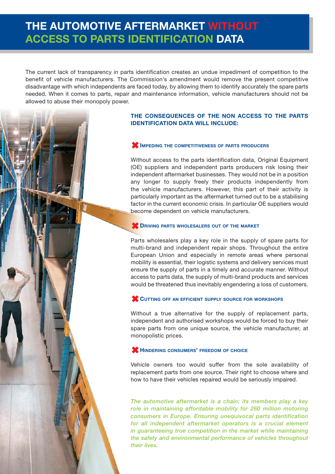# **THE AUTOMOTIVE AFTERMARKET WITHOUT ACCESS TO PARTS IDENTIFICATION DATA**

The current lack of transparency in parts identification creates an undue impediment of competition to the benefit of vehicle manufacturers. The Commission's amendment would remove the present competitive disadvantage with which independents are faced today, by allowing them to identify accurately the spare parts needed. When it comes to parts, repair and maintenance information, vehicle manufacturers should not be allowed to abuse their monopoly power.

# **THE CONSEQUENCES OF THE NON ACCESS TO THE PARTS IDENTIFICATION DATA WILL INCLUDE:**

# -**IMPEDING THE COMPETITIVENESS OF PARTS PRODUCERS**

Without access to the parts identification data, Original Equipment (OE) suppliers and independent parts producers risk losing their independent aftermarket businesses. They would not be in a position any longer to supply freely their products independently from the vehicle manufacturers. However, this part of their activity is particularly important as the aftermarket turned out to be a stabilising factor in the current economic crisis. In particular OE suppliers would become dependent on vehicle manufacturers.

# **CONTRIGUES ALL STATES WHOLESALERS OUT OF THE MARKET**

Parts wholesalers play a key role in the supply of spare parts for multi-brand and independent repair shops. Throughout the entire European Union and especially in remote areas where personal mobility is essential, their logistic systems and delivery services must ensure the supply of parts in a timely and accurate manner. Without access to parts data, the supply of multi-brand products and services would be threatened thus inevitably engendering a loss of customers.

# **CUTTING OFF AN EFFICIENT SUPPLY SOURCE FOR WORKSHOPS**

Without a true alternative for the supply of replacement parts, independent and authorised workshops would be forced to buy their spare parts from one unique source, the vehicle manufacturer, at monopolistic prices.

# -**HINDERING CONSUMERS' FREEDOM OF CHOICE**

Vehicle owners too would suffer from the sole availability of replacement parts from one source. Their right to choose where and how to have their vehicles repaired would be seriously impaired.

*The automotive aftermarket is a chain; its members play a key role in maintaining affordable mobility for 260 million motoring consumers in Europe. Ensuring unequivocal parts identification for all independent aftermarket operators is a crucial element in guaranteeing true competition in the market while maintaining the safety and environmental performance of vehicles throughout their lives.*